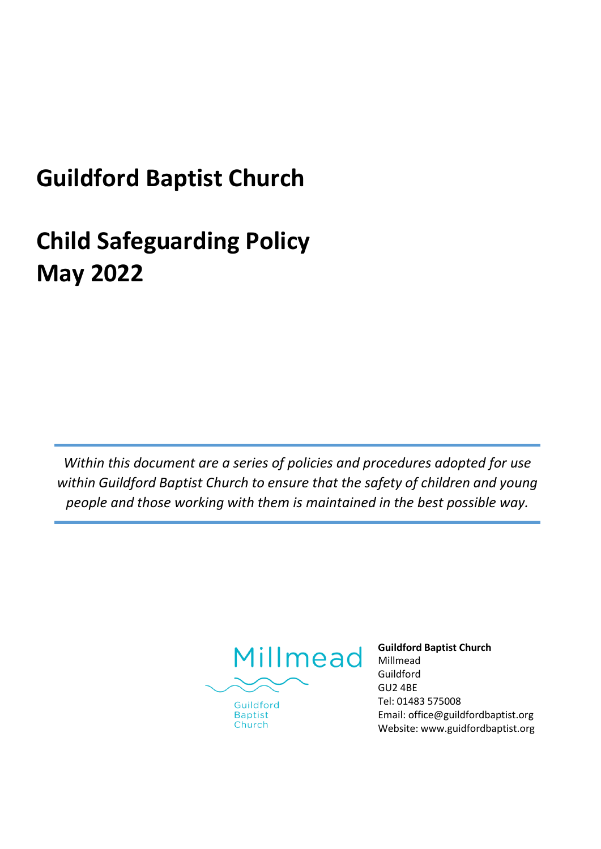# **Guildford Baptist Church**

# **Child Safeguarding Policy May 2022**

*Within this document are a series of policies and procedures adopted for use within Guildford Baptist Church to ensure that the safety of children and young people and those working with them is maintained in the best possible way.*



Guildford **Baptist** Church

**Guildford Baptist Church** Millmead Guildford GU2 4BE Tel: 01483 575008 Email[: office@guildfordbaptist.org](mailto:office@guildfordbaptist.org) Website: [www.guidfordbaptist.org](http://www.guidfordbaptist.org/)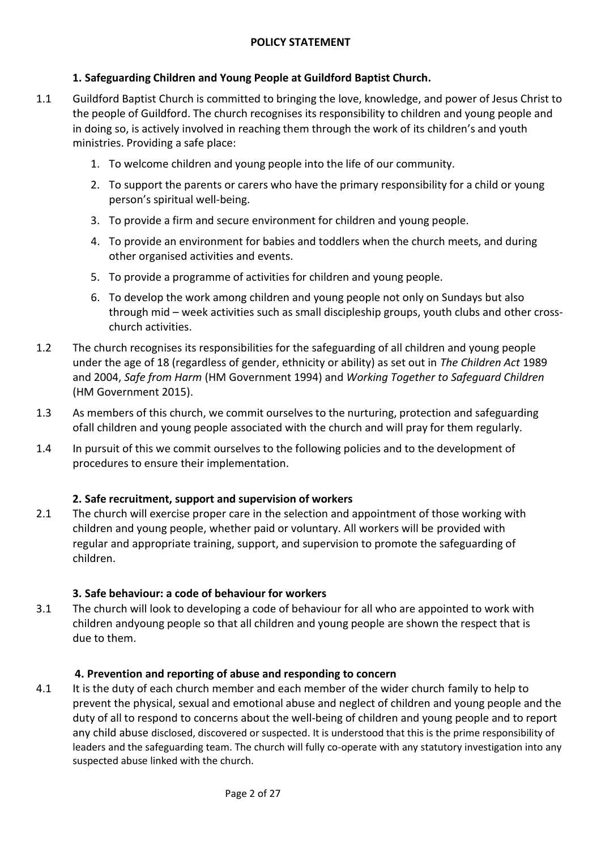# **1. Safeguarding Children and Young People at Guildford Baptist Church.**

- 1.1 Guildford Baptist Church is committed to bringing the love, knowledge, and power of Jesus Christ to the people of Guildford. The church recognises its responsibility to children and young people and in doing so, is actively involved in reaching them through the work of its children's and youth ministries. Providing a safe place:
	- 1. To welcome children and young people into the life of our community.
	- 2. To support the parents or carers who have the primary responsibility for a child or young person's spiritual well-being.
	- 3. To provide a firm and secure environment for children and young people.
	- 4. To provide an environment for babies and toddlers when the church meets, and during other organised activities and events.
	- 5. To provide a programme of activities for children and young people.
	- 6. To develop the work among children and young people not only on Sundays but also through mid – week activities such as small discipleship groups, youth clubs and other crosschurch activities.
- 1.2 The church recognises its responsibilities for the safeguarding of all children and young people under the age of 18 (regardless of gender, ethnicity or ability) as set out in *The Children Act* 1989 and 2004, *Safe from Harm* (HM Government 1994) and *Working Together to Safeguard Children* (HM Government 2015).
- 1.3 As members of this church, we commit ourselves to the nurturing, protection and safeguarding ofall children and young people associated with the church and will pray for them regularly.
- 1.4 In pursuit of this we commit ourselves to the following policies and to the development of procedures to ensure their implementation.

# **2. Safe recruitment, support and supervision of workers**

2.1 The church will exercise proper care in the selection and appointment of those working with children and young people, whether paid or voluntary. All workers will be provided with regular and appropriate training, support, and supervision to promote the safeguarding of children.

# **3. Safe behaviour: a code of behaviour for workers**

3.1 The church will look to developing a code of behaviour for all who are appointed to work with children andyoung people so that all children and young people are shown the respect that is due to them.

# **4. Prevention and reporting of abuse and responding to concern**

4.1 It is the duty of each church member and each member of the wider church family to help to prevent the physical, sexual and emotional abuse and neglect of children and young people and the duty of all to respond to concerns about the well-being of children and young people and to report any child abuse disclosed, discovered or suspected. It is understood that this is the prime responsibility of leaders and the safeguarding team. The church will fully co-operate with any statutory investigation into any suspected abuse linked with the church.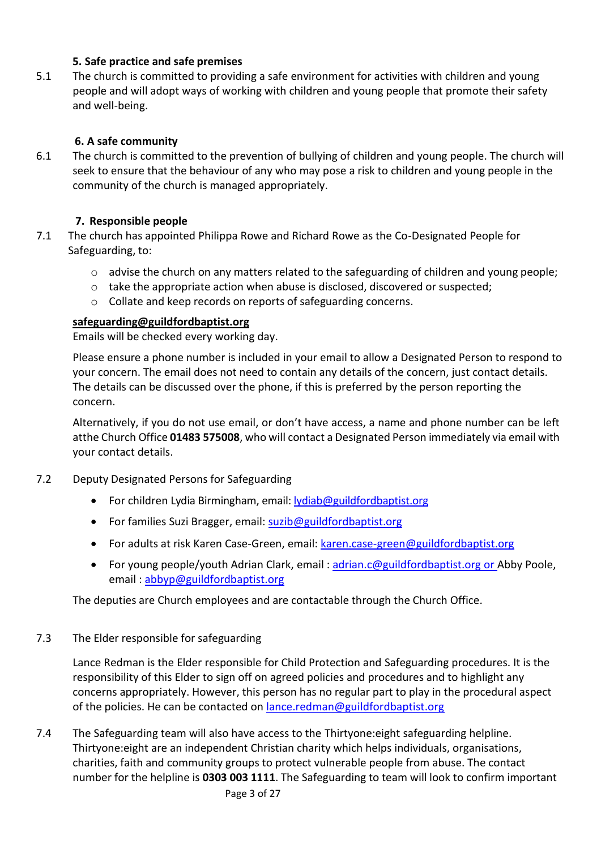# **5. Safe practice and safe premises**

5.1 The church is committed to providing a safe environment for activities with children and young people and will adopt ways of working with children and young people that promote their safety and well-being.

# **6. A safe community**

6.1 The church is committed to the prevention of bullying of children and young people. The church will seek to ensure that the behaviour of any who may pose a risk to children and young people in the community of the church is managed appropriately.

# **7. Responsible people**

- 7.1 The church has appointed Philippa Rowe and Richard Rowe as the Co-Designated People for Safeguarding, to:
	- $\circ$  advise the church on any matters related to the safeguarding of children and young people;
	- o take the appropriate action when abuse is disclosed, discovered or suspected;
	- o Collate and keep records on reports of safeguarding concerns.

# **[safeguarding@guildfordbaptist.org](mailto:safeguarding@guildfordbaptist.org)**

Emails will be checked every working day.

Please ensure a phone number is included in your email to allow a Designated Person to respond to your concern. The email does not need to contain any details of the concern, just contact details. The details can be discussed over the phone, if this is preferred by the person reporting the concern.

Alternatively, if you do not use email, or don't have access, a name and phone number can be left atthe Church Office **01483 575008**, who will contact a Designated Person immediately via email with your contact details.

# 7.2 Deputy Designated Persons for Safeguarding

- For children Lydia Birmingham, email: [lydiab@guildfordbaptist.org](mailto:lydiab@guildfordbaptist.org)
- For families Suzi Bragger, email: [suzib@guildfordbaptist.org](mailto:suzib@guildfordbaptist.org)
- For adults at risk Karen Case-Green, email[: karen.case-green@guildfordbaptist.org](mailto:karen.case-green@guildfordbaptist.org)
- For young people/youth Adrian Clark, email: [adrian.c@guildfordbaptist.org](mailto:adrian.c@guildfordbaptist.org) or Abby Poole, email : [abbyp@guildfordbaptist.org](mailto:abbyp@guildfordbaptist.org)

The deputies are Church employees and are contactable through the Church Office.

# 7.3 The Elder responsible for safeguarding

Lance Redman is the Elder responsible for Child Protection and Safeguarding procedures. It is the responsibility of this Elder to sign off on agreed policies and procedures and to highlight any concerns appropriately. However, this person has no regular part to play in the procedural aspect of the policies. He can be contacted on [lance.redman@guildfordbaptist.org](mailto:lance.redman@guildfordbaptist.org)

7.4 The Safeguarding team will also have access to the Thirtyone:eight safeguarding helpline. Thirtyone:eight are an independent Christian charity which helps individuals, organisations, charities, faith and community groups to protect vulnerable people from abuse. The contact number for the helpline is **0303 003 1111**. The Safeguarding to team will look to confirm important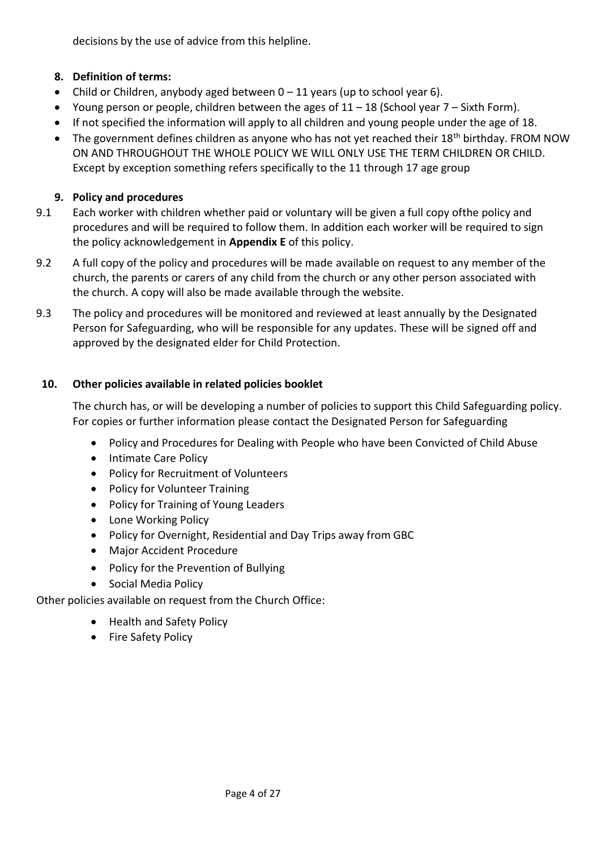decisions by the use of advice from this helpline.

# **8. Definition of terms:**

- Child or Children, anybody aged between  $0 11$  years (up to school year 6).
- Young person or people, children between the ages of  $11 18$  (School year  $7 -$  Sixth Form).
- If not specified the information will apply to all children and young people under the age of 18.
- The government defines children as anyone who has not yet reached their 18<sup>th</sup> birthday. FROM NOW ON AND THROUGHOUT THE WHOLE POLICY WE WILL ONLY USE THE TERM CHILDREN OR CHILD. Except by exception something refers specifically to the 11 through 17 age group

# **9. Policy and procedures**

- 9.1 Each worker with children whether paid or voluntary will be given a full copy ofthe policy and procedures and will be required to follow them. In addition each worker will be required to sign the policy acknowledgement in **Appendix E** of this policy.
- 9.2 A full copy of the policy and procedures will be made available on request to any member of the church, the parents or carers of any child from the church or any other person associated with the church. A copy will also be made available through the website.
- 9.3 The policy and procedures will be monitored and reviewed at least annually by the Designated Person for Safeguarding, who will be responsible for any updates. These will be signed off and approved by the designated elder for Child Protection.

# **10. Other policies available in related policies booklet**

The church has, or will be developing a number of policies to support this Child Safeguarding policy. For copies or further information please contact the Designated Person for Safeguarding

- Policy and Procedures for Dealing with People who have been Convicted of Child Abuse
- Intimate Care Policy
- Policy for Recruitment of Volunteers
- Policy for Volunteer Training
- Policy for Training of Young Leaders
- Lone Working Policy
- Policy for Overnight, Residential and Day Trips away from GBC
- Major Accident Procedure
- Policy for the Prevention of Bullying
- Social Media Policy

Other policies available on request from the Church Office:

- Health and Safety Policy
- Fire Safety Policy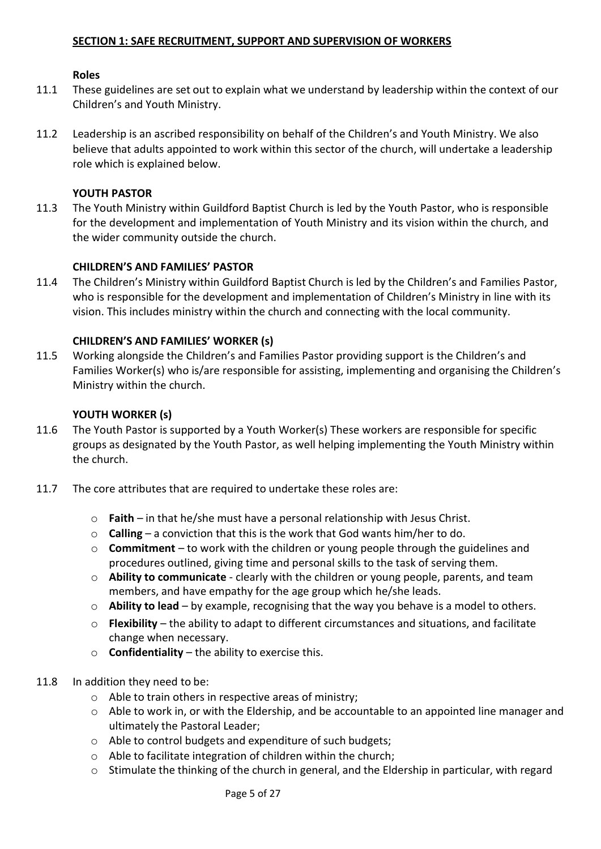#### **Roles**

- 11.1 These guidelines are set out to explain what we understand by leadership within the context of our Children's and Youth Ministry.
- 11.2 Leadership is an ascribed responsibility on behalf of the Children's and Youth Ministry. We also believe that adults appointed to work within this sector of the church, will undertake a leadership role which is explained below.

#### **YOUTH PASTOR**

11.3 The Youth Ministry within Guildford Baptist Church is led by the Youth Pastor, who is responsible for the development and implementation of Youth Ministry and its vision within the church, and the wider community outside the church.

#### **CHILDREN'S AND FAMILIES' PASTOR**

11.4 The Children's Ministry within Guildford Baptist Church is led by the Children's and Families Pastor, who is responsible for the development and implementation of Children's Ministry in line with its vision. This includes ministry within the church and connecting with the local community.

## **CHILDREN'S AND FAMILIES' WORKER (s)**

11.5 Working alongside the Children's and Families Pastor providing support is the Children's and Families Worker(s) who is/are responsible for assisting, implementing and organising the Children's Ministry within the church.

#### **YOUTH WORKER (s)**

- 11.6 The Youth Pastor is supported by a Youth Worker(s) These workers are responsible for specific groups as designated by the Youth Pastor, as well helping implementing the Youth Ministry within the church.
- 11.7 The core attributes that are required to undertake these roles are:
	- o **Faith**  in that he/she must have a personal relationship with Jesus Christ.
	- o **Calling** a conviction that this is the work that God wants him/her to do.
	- o **Commitment**  to work with the children or young people through the guidelines and procedures outlined, giving time and personal skills to the task of serving them.
	- o **Ability to communicate**  clearly with the children or young people, parents, and team members, and have empathy for the age group which he/she leads.
	- o **Ability to lead** by example, recognising that the way you behave is a model to others.
	- o **Flexibility**  the ability to adapt to different circumstances and situations, and facilitate change when necessary.
	- o **Confidentiality** the ability to exercise this.
- 11.8 In addition they need to be:
	- o Able to train others in respective areas of ministry;
	- o Able to work in, or with the Eldership, and be accountable to an appointed line manager and ultimately the Pastoral Leader;
	- o Able to control budgets and expenditure of such budgets;
	- o Able to facilitate integration of children within the church;
	- o Stimulate the thinking of the church in general, and the Eldership in particular, with regard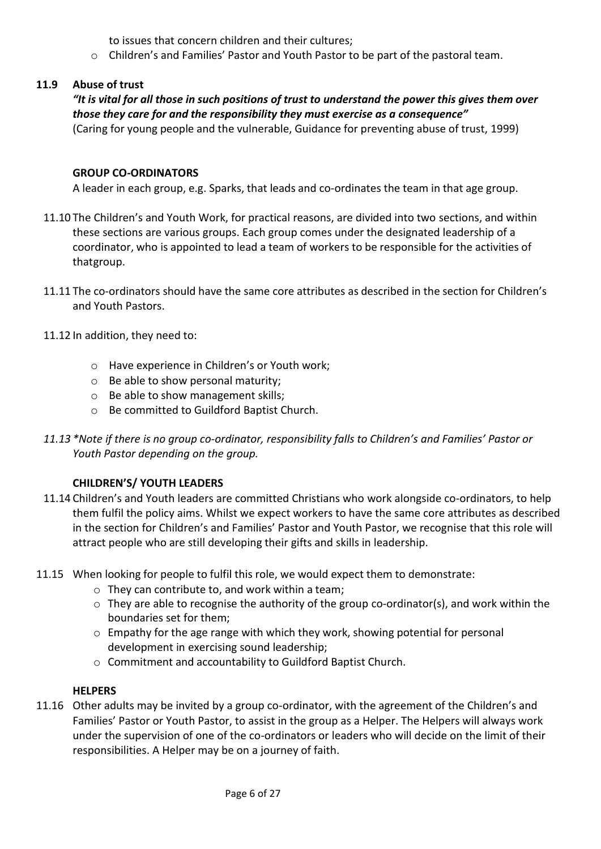to issues that concern children and their cultures;

o Children's and Families' Pastor and Youth Pastor to be part of the pastoral team.

# **11.9 Abuse of trust**

# *"It is vital for all those in such positions of trust to understand the power this gives them over those they care for and the responsibility they must exercise as a consequence"*

(Caring for young people and the vulnerable, Guidance for preventing abuse of trust, 1999)

# **GROUP CO-ORDINATORS**

A leader in each group, e.g. Sparks, that leads and co-ordinates the team in that age group.

- 11.10 The Children's and Youth Work, for practical reasons, are divided into two sections, and within these sections are various groups. Each group comes under the designated leadership of a coordinator, who is appointed to lead a team of workers to be responsible for the activities of thatgroup.
- 11.11 The co-ordinators should have the same core attributes as described in the section for Children's and Youth Pastors.
- 11.12 In addition, they need to:
	- o Have experience in Children's or Youth work;
	- o Be able to show personal maturity;
	- o Be able to show management skills;
	- o Be committed to Guildford Baptist Church.
- *11.13 \*Note if there is no group co-ordinator, responsibility falls to Children's and Families' Pastor or Youth Pastor depending on the group.*

# **CHILDREN'S/ YOUTH LEADERS**

- 11.14 Children's and Youth leaders are committed Christians who work alongside co-ordinators, to help them fulfil the policy aims. Whilst we expect workers to have the same core attributes as described in the section for Children's and Families' Pastor and Youth Pastor, we recognise that this role will attract people who are still developing their gifts and skills in leadership.
- 11.15 When looking for people to fulfil this role, we would expect them to demonstrate:
	- o They can contribute to, and work within a team;
	- o They are able to recognise the authority of the group co-ordinator(s), and work within the boundaries set for them;
	- o Empathy for the age range with which they work, showing potential for personal development in exercising sound leadership;
	- o Commitment and accountability to Guildford Baptist Church.

# **HELPERS**

11.16 Other adults may be invited by a group co-ordinator, with the agreement of the Children's and Families' Pastor or Youth Pastor, to assist in the group as a Helper. The Helpers will always work under the supervision of one of the co-ordinators or leaders who will decide on the limit of their responsibilities. A Helper may be on a journey of faith.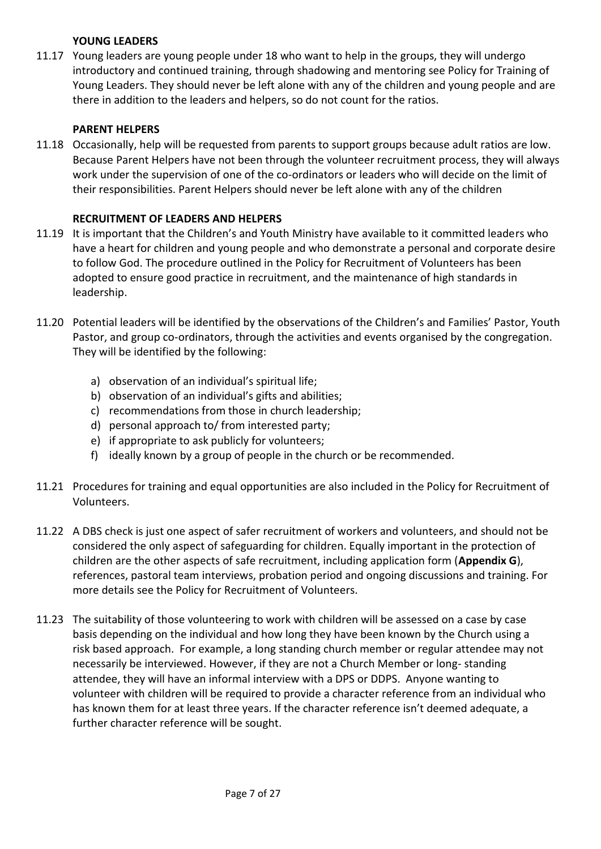# **YOUNG LEADERS**

11.17 Young leaders are young people under 18 who want to help in the groups, they will undergo introductory and continued training, through shadowing and mentoring see Policy for Training of Young Leaders. They should never be left alone with any of the children and young people and are there in addition to the leaders and helpers, so do not count for the ratios.

## **PARENT HELPERS**

11.18 Occasionally, help will be requested from parents to support groups because adult ratios are low. Because Parent Helpers have not been through the volunteer recruitment process, they will always work under the supervision of one of the co-ordinators or leaders who will decide on the limit of their responsibilities. Parent Helpers should never be left alone with any of the children

### **RECRUITMENT OF LEADERS AND HELPERS**

- 11.19 It is important that the Children's and Youth Ministry have available to it committed leaders who have a heart for children and young people and who demonstrate a personal and corporate desire to follow God. The procedure outlined in the Policy for Recruitment of Volunteers has been adopted to ensure good practice in recruitment, and the maintenance of high standards in leadership.
- 11.20 Potential leaders will be identified by the observations of the Children's and Families' Pastor, Youth Pastor, and group co-ordinators, through the activities and events organised by the congregation. They will be identified by the following:
	- a) observation of an individual's spiritual life;
	- b) observation of an individual's gifts and abilities;
	- c) recommendations from those in church leadership;
	- d) personal approach to/ from interested party;
	- e) if appropriate to ask publicly for volunteers;
	- f) ideally known by a group of people in the church or be recommended.
- 11.21 Procedures for training and equal opportunities are also included in the Policy for Recruitment of Volunteers.
- 11.22 A DBS check is just one aspect of safer recruitment of workers and volunteers, and should not be considered the only aspect of safeguarding for children. Equally important in the protection of children are the other aspects of safe recruitment, including application form (**Appendix G**), references, pastoral team interviews, probation period and ongoing discussions and training. For more details see the Policy for Recruitment of Volunteers.
- 11.23 The suitability of those volunteering to work with children will be assessed on a case by case basis depending on the individual and how long they have been known by the Church using a risk based approach. For example, a long standing church member or regular attendee may not necessarily be interviewed. However, if they are not a Church Member or long- standing attendee, they will have an informal interview with a DPS or DDPS. Anyone wanting to volunteer with children will be required to provide a character reference from an individual who has known them for at least three years. If the character reference isn't deemed adequate, a further character reference will be sought.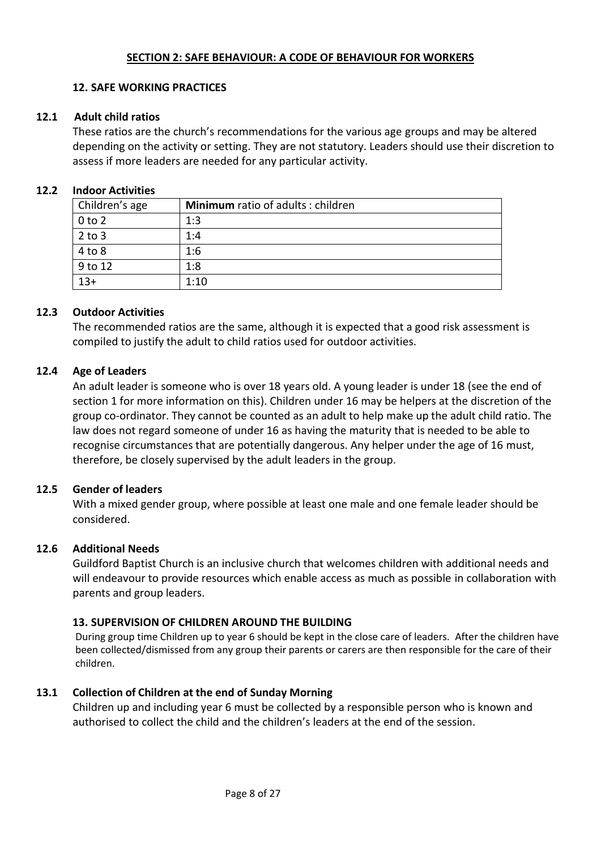# **SECTION 2: SAFE BEHAVIOUR: A CODE OF BEHAVIOUR FOR WORKERS**

### **12. SAFE WORKING PRACTICES**

## **12.1 Adult child ratios**

These ratios are the church's recommendations for the various age groups and may be altered depending on the activity or setting. They are not statutory. Leaders should use their discretion to assess if more leaders are needed for any particular activity.

#### **12.2 Indoor Activities**

| Children's age | Minimum ratio of adults: children |
|----------------|-----------------------------------|
| $0$ to $2$     | 1:3                               |
| $2$ to $3$     | 1:4                               |
| 4 to 8         | 1:6                               |
| 9 to 12        | 1:8                               |
| $13+$          | 1:10                              |

#### **12.3 Outdoor Activities**

The recommended ratios are the same, although it is expected that a good risk assessment is compiled to justify the adult to child ratios used for outdoor activities.

## **12.4 Age of Leaders**

An adult leader is someone who is over 18 years old. A young leader is under 18 (see the end of section 1 for more information on this). Children under 16 may be helpers at the discretion of the group co-ordinator. They cannot be counted as an adult to help make up the adult child ratio. The law does not regard someone of under 16 as having the maturity that is needed to be able to recognise circumstances that are potentially dangerous. Any helper under the age of 16 must, therefore, be closely supervised by the adult leaders in the group.

#### **12.5 Gender of leaders**

With a mixed gender group, where possible at least one male and one female leader should be considered.

#### **12.6 Additional Needs**

Guildford Baptist Church is an inclusive church that welcomes children with additional needs and will endeavour to provide resources which enable access as much as possible in collaboration with parents and group leaders.

#### **13. SUPERVISION OF CHILDREN AROUND THE BUILDING**

During group time Children up to year 6 should be kept in the close care of leaders. After the children have been collected/dismissed from any group their parents or carers are then responsible for the care of their children.

# **13.1 Collection of Children at the end of Sunday Morning**

Children up and including year 6 must be collected by a responsible person who is known and authorised to collect the child and the children's leaders at the end of the session.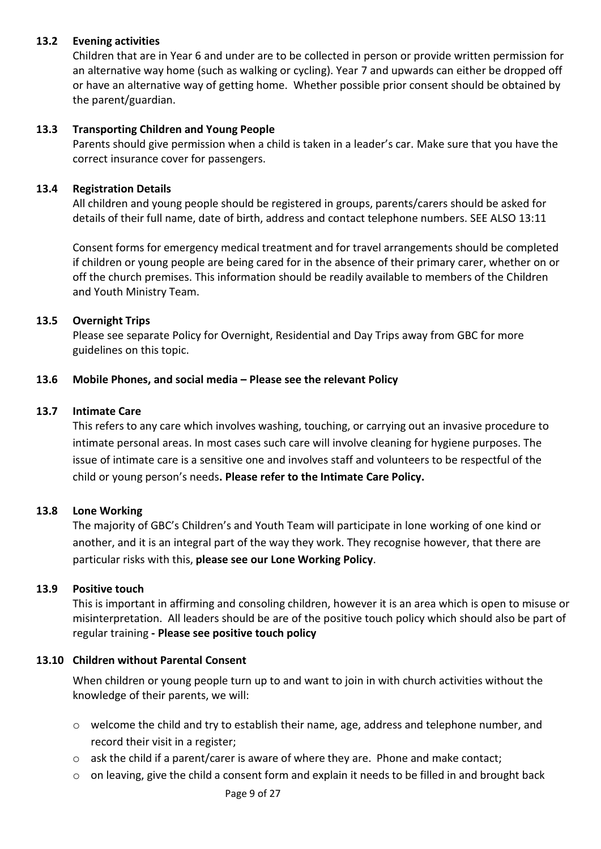## **13.2 Evening activities**

Children that are in Year 6 and under are to be collected in person or provide written permission for an alternative way home (such as walking or cycling). Year 7 and upwards can either be dropped off or have an alternative way of getting home. Whether possible prior consent should be obtained by the parent/guardian.

#### **13.3 Transporting Children and Young People**

Parents should give permission when a child is taken in a leader's car. Make sure that you have the correct insurance cover for passengers.

#### **13.4 Registration Details**

All children and young people should be registered in groups, parents/carers should be asked for details of their full name, date of birth, address and contact telephone numbers. SEE ALSO 13:11

Consent forms for emergency medical treatment and for travel arrangements should be completed if children or young people are being cared for in the absence of their primary carer, whether on or off the church premises. This information should be readily available to members of the Children and Youth Ministry Team.

## **13.5 Overnight Trips**

Please see separate Policy for Overnight, Residential and Day Trips away from GBC for more guidelines on this topic.

## **13.6 Mobile Phones, and social media – Please see the relevant Policy**

#### **13.7 Intimate Care**

This refers to any care which involves washing, touching, or carrying out an invasive procedure to intimate personal areas. In most cases such care will involve cleaning for hygiene purposes. The issue of intimate care is a sensitive one and involves staff and volunteers to be respectful of the child or young person's needs**. Please refer to the Intimate Care Policy.**

# **13.8 Lone Working**

The majority of GBC's Children's and Youth Team will participate in lone working of one kind or another, and it is an integral part of the way they work. They recognise however, that there are particular risks with this, **please see our Lone Working Policy**.

#### **13.9 Positive touch**

This is important in affirming and consoling children, however it is an area which is open to misuse or misinterpretation. All leaders should be are of the positive touch policy which should also be part of regular training **- Please see positive touch policy** 

#### **13.10 Children without Parental Consent**

When children or young people turn up to and want to join in with church activities without the knowledge of their parents, we will:

- o welcome the child and try to establish their name, age, address and telephone number, and record their visit in a register;
- $\circ$  ask the child if a parent/carer is aware of where they are. Phone and make contact;
- $\circ$  on leaving, give the child a consent form and explain it needs to be filled in and brought back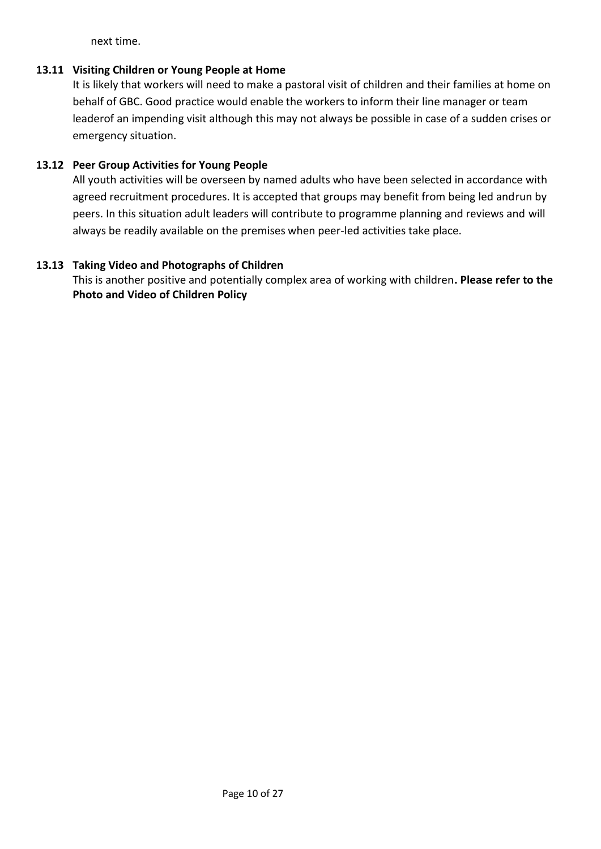next time.

# **13.11 Visiting Children or Young People at Home**

It is likely that workers will need to make a pastoral visit of children and their families at home on behalf of GBC. Good practice would enable the workers to inform their line manager or team leaderof an impending visit although this may not always be possible in case of a sudden crises or emergency situation.

# **13.12 Peer Group Activities for Young People**

All youth activities will be overseen by named adults who have been selected in accordance with agreed recruitment procedures. It is accepted that groups may benefit from being led andrun by peers. In this situation adult leaders will contribute to programme planning and reviews and will always be readily available on the premises when peer-led activities take place.

# **13.13 Taking Video and Photographs of Children**

This is another positive and potentially complex area of working with children**. Please refer to the Photo and Video of Children Policy**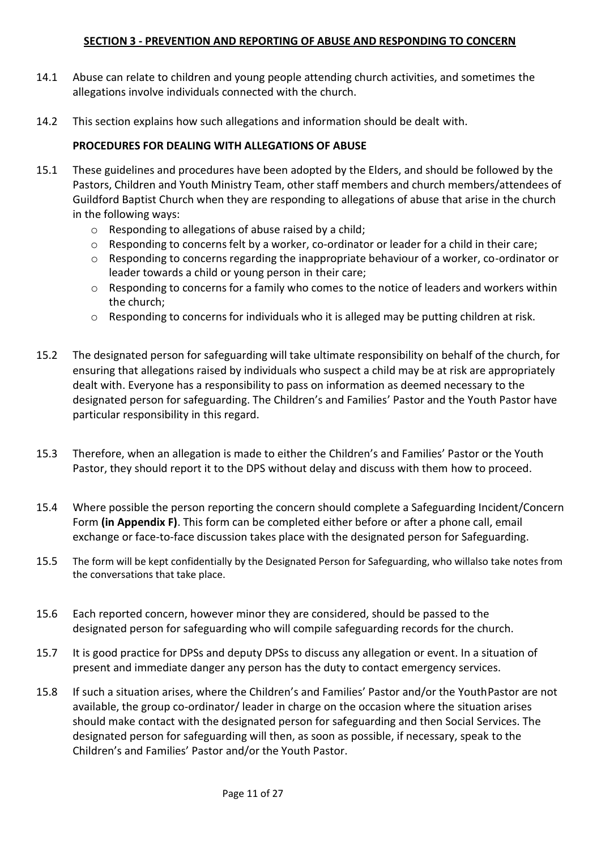## **SECTION 3 - PREVENTION AND REPORTING OF ABUSE AND RESPONDING TO CONCERN**

- 14.1 Abuse can relate to children and young people attending church activities, and sometimes the allegations involve individuals connected with the church.
- 14.2 This section explains how such allegations and information should be dealt with.

## **PROCEDURES FOR DEALING WITH ALLEGATIONS OF ABUSE**

- 15.1 These guidelines and procedures have been adopted by the Elders, and should be followed by the Pastors, Children and Youth Ministry Team, other staff members and church members/attendees of Guildford Baptist Church when they are responding to allegations of abuse that arise in the church in the following ways:
	- o Responding to allegations of abuse raised by a child;
	- $\circ$  Responding to concerns felt by a worker, co-ordinator or leader for a child in their care;
	- o Responding to concerns regarding the inappropriate behaviour of a worker, co-ordinator or leader towards a child or young person in their care;
	- $\circ$  Responding to concerns for a family who comes to the notice of leaders and workers within the church;
	- $\circ$  Responding to concerns for individuals who it is alleged may be putting children at risk.
- 15.2 The designated person for safeguarding will take ultimate responsibility on behalf of the church, for ensuring that allegations raised by individuals who suspect a child may be at risk are appropriately dealt with. Everyone has a responsibility to pass on information as deemed necessary to the designated person for safeguarding. The Children's and Families' Pastor and the Youth Pastor have particular responsibility in this regard.
- 15.3 Therefore, when an allegation is made to either the Children's and Families' Pastor or the Youth Pastor, they should report it to the DPS without delay and discuss with them how to proceed.
- 15.4 Where possible the person reporting the concern should complete a Safeguarding Incident/Concern Form **(in Appendix F)**. This form can be completed either before or after a phone call, email exchange or face-to-face discussion takes place with the designated person for Safeguarding.
- 15.5 The form will be kept confidentially by the Designated Person for Safeguarding, who willalso take notes from the conversations that take place.
- 15.6 Each reported concern, however minor they are considered, should be passed to the designated person for safeguarding who will compile safeguarding records for the church.
- 15.7 It is good practice for DPSs and deputy DPSs to discuss any allegation or event. In a situation of present and immediate danger any person has the duty to contact emergency services.
- 15.8 If such a situation arises, where the Children's and Families' Pastor and/or the YouthPastor are not available, the group co-ordinator/ leader in charge on the occasion where the situation arises should make contact with the designated person for safeguarding and then Social Services. The designated person for safeguarding will then, as soon as possible, if necessary, speak to the Children's and Families' Pastor and/or the Youth Pastor.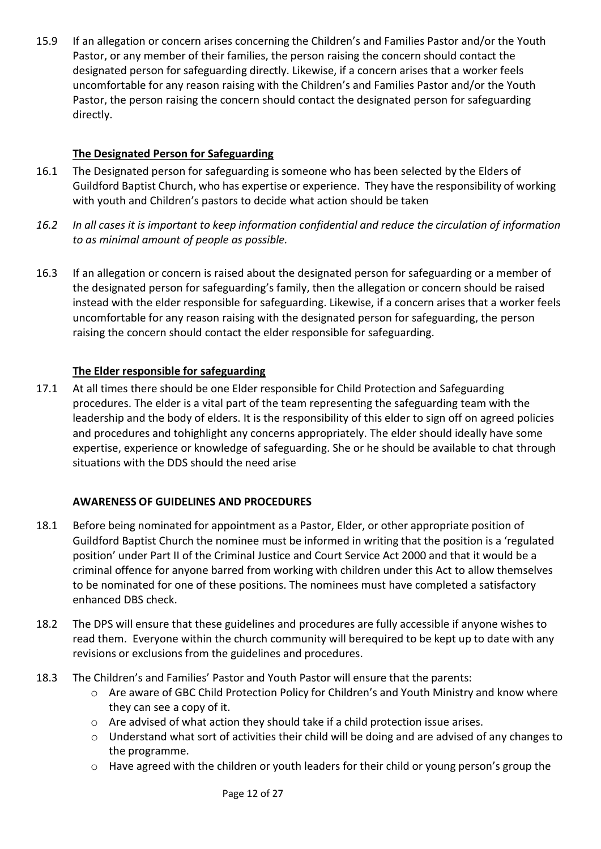15.9 If an allegation or concern arises concerning the Children's and Families Pastor and/or the Youth Pastor, or any member of their families, the person raising the concern should contact the designated person for safeguarding directly. Likewise, if a concern arises that a worker feels uncomfortable for any reason raising with the Children's and Families Pastor and/or the Youth Pastor, the person raising the concern should contact the designated person for safeguarding directly.

# **The Designated Person for Safeguarding**

- 16.1 The Designated person for safeguarding is someone who has been selected by the Elders of Guildford Baptist Church, who has expertise or experience. They have the responsibility of working with youth and Children's pastors to decide what action should be taken
- 16.2 In all cases it is important to keep information confidential and reduce the circulation of information *to as minimal amount of people as possible.*
- 16.3 If an allegation or concern is raised about the designated person for safeguarding or a member of the designated person for safeguarding's family, then the allegation or concern should be raised instead with the elder responsible for safeguarding. Likewise, if a concern arises that a worker feels uncomfortable for any reason raising with the designated person for safeguarding, the person raising the concern should contact the elder responsible for safeguarding.

# **The Elder responsible for safeguarding**

17.1 At all times there should be one Elder responsible for Child Protection and Safeguarding procedures. The elder is a vital part of the team representing the safeguarding team with the leadership and the body of elders. It is the responsibility of this elder to sign off on agreed policies and procedures and tohighlight any concerns appropriately. The elder should ideally have some expertise, experience or knowledge of safeguarding. She or he should be available to chat through situations with the DDS should the need arise

# **AWARENESS OF GUIDELINES AND PROCEDURES**

- 18.1 Before being nominated for appointment as a Pastor, Elder, or other appropriate position of Guildford Baptist Church the nominee must be informed in writing that the position is a 'regulated position' under Part II of the Criminal Justice and Court Service Act 2000 and that it would be a criminal offence for anyone barred from working with children under this Act to allow themselves to be nominated for one of these positions. The nominees must have completed a satisfactory enhanced DBS check.
- 18.2 The DPS will ensure that these guidelines and procedures are fully accessible if anyone wishes to read them. Everyone within the church community will berequired to be kept up to date with any revisions or exclusions from the guidelines and procedures.
- 18.3 The Children's and Families' Pastor and Youth Pastor will ensure that the parents:
	- o Are aware of GBC Child Protection Policy for Children's and Youth Ministry and know where they can see a copy of it.
	- o Are advised of what action they should take if a child protection issue arises.
	- o Understand what sort of activities their child will be doing and are advised of any changes to the programme.
	- o Have agreed with the children or youth leaders for their child or young person's group the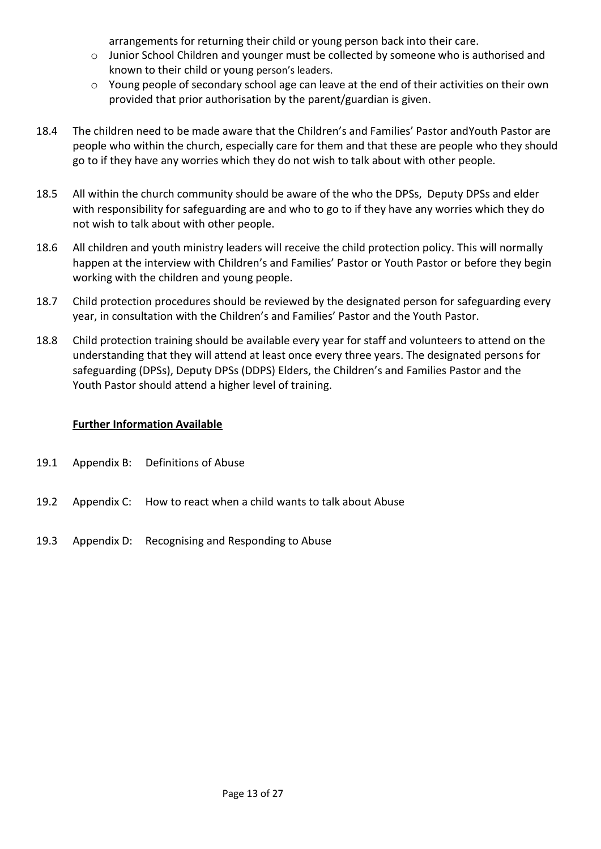arrangements for returning their child or young person back into their care.

- o Junior School Children and younger must be collected by someone who is authorised and known to their child or young person's leaders.
- o Young people of secondary school age can leave at the end of their activities on their own provided that prior authorisation by the parent/guardian is given.
- 18.4 The children need to be made aware that the Children's and Families' Pastor andYouth Pastor are people who within the church, especially care for them and that these are people who they should go to if they have any worries which they do not wish to talk about with other people.
- 18.5 All within the church community should be aware of the who the DPSs, Deputy DPSs and elder with responsibility for safeguarding are and who to go to if they have any worries which they do not wish to talk about with other people.
- 18.6 All children and youth ministry leaders will receive the child protection policy. This will normally happen at the interview with Children's and Families' Pastor or Youth Pastor or before they begin working with the children and young people.
- 18.7 Child protection procedures should be reviewed by the designated person for safeguarding every year, in consultation with the Children's and Families' Pastor and the Youth Pastor.
- 18.8 Child protection training should be available every year for staff and volunteers to attend on the understanding that they will attend at least once every three years. The designated persons for safeguarding (DPSs), Deputy DPSs (DDPS) Elders, the Children's and Families Pastor and the Youth Pastor should attend a higher level of training.

# **Further Information Available**

- 19.1 Appendix B: Definitions of Abuse
- 19.2 Appendix C: How to react when a child wants to talk about Abuse
- 19.3 Appendix D: Recognising and Responding to Abuse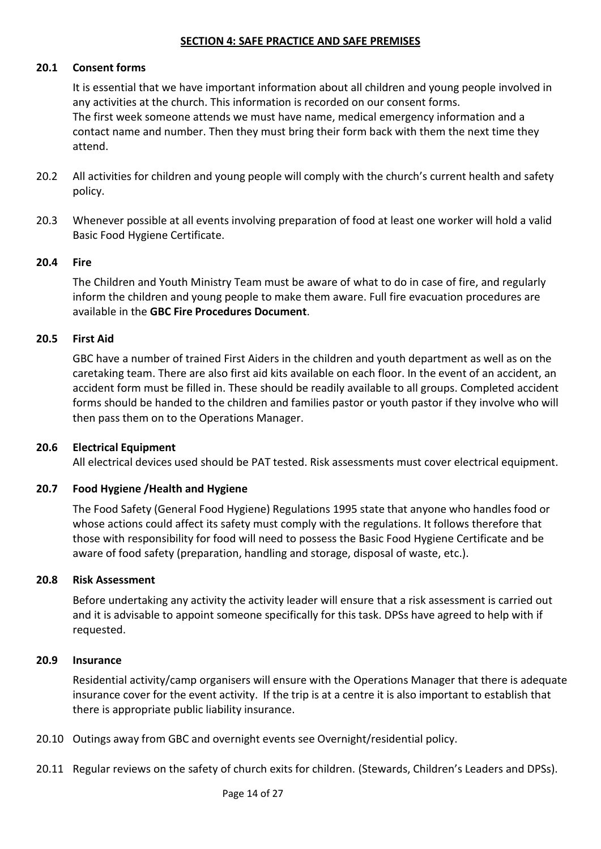#### **SECTION 4: SAFE PRACTICE AND SAFE PREMISES**

#### **20.1 Consent forms**

It is essential that we have important information about all children and young people involved in any activities at the church. This information is recorded on our consent forms. The first week someone attends we must have name, medical emergency information and a contact name and number. Then they must bring their form back with them the next time they attend.

- 20.2 All activities for children and young people will comply with the church's current health and safety policy.
- 20.3 Whenever possible at all events involving preparation of food at least one worker will hold a valid Basic Food Hygiene Certificate.

#### **20.4 Fire**

The Children and Youth Ministry Team must be aware of what to do in case of fire, and regularly inform the children and young people to make them aware. Full fire evacuation procedures are available in the **GBC Fire Procedures Document**.

#### **20.5 First Aid**

GBC have a number of trained First Aiders in the children and youth department as well as on the caretaking team. There are also first aid kits available on each floor. In the event of an accident, an accident form must be filled in. These should be readily available to all groups. Completed accident forms should be handed to the children and families pastor or youth pastor if they involve who will then pass them on to the Operations Manager.

#### **20.6 Electrical Equipment**

All electrical devices used should be PAT tested. Risk assessments must cover electrical equipment.

#### **20.7 Food Hygiene /Health and Hygiene**

The Food Safety (General Food Hygiene) Regulations 1995 state that anyone who handles food or whose actions could affect its safety must comply with the regulations. It follows therefore that those with responsibility for food will need to possess the Basic Food Hygiene Certificate and be aware of food safety (preparation, handling and storage, disposal of waste, etc.).

#### **20.8 Risk Assessment**

Before undertaking any activity the activity leader will ensure that a risk assessment is carried out and it is advisable to appoint someone specifically for this task. DPSs have agreed to help with if requested.

#### **20.9 Insurance**

Residential activity/camp organisers will ensure with the Operations Manager that there is adequate insurance cover for the event activity. If the trip is at a centre it is also important to establish that there is appropriate public liability insurance.

- 20.10 Outings away from GBC and overnight events see Overnight/residential policy.
- 20.11 Regular reviews on the safety of church exits for children. (Stewards, Children's Leaders and DPSs).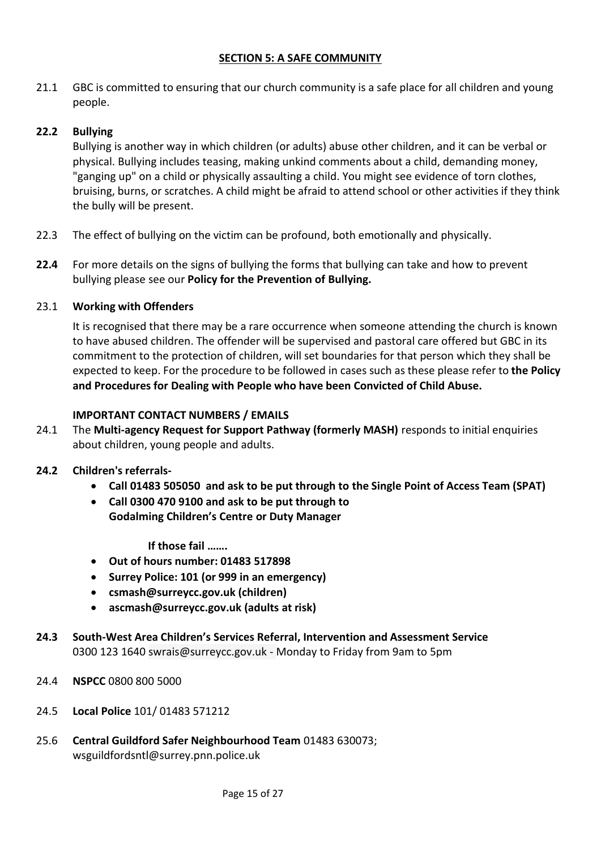# **SECTION 5: A SAFE COMMUNITY**

21.1 GBC is committed to ensuring that our church community is a safe place for all children and young people.

# **22.2 Bullying**

Bullying is another way in which children (or adults) abuse other children, and it can be verbal or physical. Bullying includes teasing, making unkind comments about a child, demanding money, "ganging up" on a child or physically assaulting a child. You might see evidence of torn clothes, bruising, burns, or scratches. A child might be afraid to attend school or other activities if they think the bully will be present.

- 22.3 The effect of bullying on the victim can be profound, both emotionally and physically.
- **22.4** For more details on the signs of bullying the forms that bullying can take and how to prevent bullying please see our **Policy for the Prevention of Bullying.**

#### 23.1 **Working with Offenders**

It is recognised that there may be a rare occurrence when someone attending the church is known to have abused children. The offender will be supervised and pastoral care offered but GBC in its commitment to the protection of children, will set boundaries for that person which they shall be expected to keep. For the procedure to be followed in cases such as these please refer to **the Policy and Procedures for Dealing with People who have been Convicted of Child Abuse.**

## **IMPORTANT CONTACT NUMBERS / EMAILS**

24.1 The **Multi-agency Request for Support Pathway (formerly MASH)** responds to initial enquiries about children, young people and adults.

#### **24.2 Children's referrals-**

- **Call 01483 505050 and ask to be put through to the Single Point of Access Team (SPAT)**
- **Call 0300 470 9100 and ask to be put through to Godalming Children's Centre or Duty Manager**

**If those fail …….** 

- **Out of hours number: 01483 517898**
- **Surrey Police: 101 (or 999 in an emergency)**
- **[csmash@surreycc.gov.uk](mailto:csmash@surreycc.gov.uk) (children)**
- **[ascmash@surreycc.gov.uk](mailto:ascmash@surreycc.gov.uk) (adults at risk)**
- **24.3 South-West Area Children's Services Referral, Intervention and Assessment Service** 0300 123 1640 [swrais@surreycc.gov.uk -](mailto:swrais@surreycc.gov.uk) Monday to Friday from 9am to 5pm
- 24.4 **NSPCC** 0800 800 5000
- 24.5 **Local Police** 101/ 01483 571212
- 25.6 **Central Guildford Safer Neighbourhood Team** 01483 630073; [wsguildfordsntl@surrey.pnn.police.uk](mailto:wsguildfordsntl@surrey.pnn.police.uk)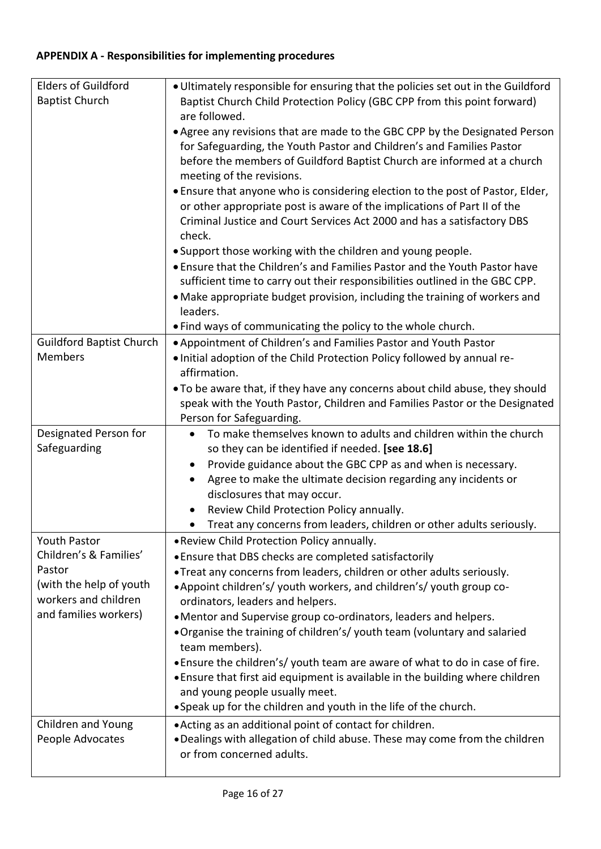# **APPENDIX A - Responsibilities for implementing procedures**

| <b>Elders of Guildford</b>      | . Ultimately responsible for ensuring that the policies set out in the Guildford                                                                             |  |
|---------------------------------|--------------------------------------------------------------------------------------------------------------------------------------------------------------|--|
| <b>Baptist Church</b>           | Baptist Church Child Protection Policy (GBC CPP from this point forward)<br>are followed.                                                                    |  |
|                                 | • Agree any revisions that are made to the GBC CPP by the Designated Person                                                                                  |  |
|                                 | for Safeguarding, the Youth Pastor and Children's and Families Pastor                                                                                        |  |
|                                 | before the members of Guildford Baptist Church are informed at a church                                                                                      |  |
|                                 | meeting of the revisions.                                                                                                                                    |  |
|                                 | . Ensure that anyone who is considering election to the post of Pastor, Elder,                                                                               |  |
|                                 | or other appropriate post is aware of the implications of Part II of the                                                                                     |  |
|                                 | Criminal Justice and Court Services Act 2000 and has a satisfactory DBS<br>check.                                                                            |  |
|                                 | . Support those working with the children and young people.                                                                                                  |  |
|                                 | • Ensure that the Children's and Families Pastor and the Youth Pastor have                                                                                   |  |
|                                 | sufficient time to carry out their responsibilities outlined in the GBC CPP.                                                                                 |  |
|                                 | • Make appropriate budget provision, including the training of workers and                                                                                   |  |
|                                 | leaders.                                                                                                                                                     |  |
| <b>Guildford Baptist Church</b> | . Find ways of communicating the policy to the whole church.                                                                                                 |  |
| <b>Members</b>                  | . Appointment of Children's and Families Pastor and Youth Pastor<br>. Initial adoption of the Child Protection Policy followed by annual re-                 |  |
|                                 | affirmation.                                                                                                                                                 |  |
|                                 | . To be aware that, if they have any concerns about child abuse, they should                                                                                 |  |
|                                 | speak with the Youth Pastor, Children and Families Pastor or the Designated                                                                                  |  |
|                                 | Person for Safeguarding.                                                                                                                                     |  |
| Designated Person for           | To make themselves known to adults and children within the church                                                                                            |  |
|                                 |                                                                                                                                                              |  |
| Safeguarding                    | so they can be identified if needed. [see 18.6]                                                                                                              |  |
|                                 | Provide guidance about the GBC CPP as and when is necessary.<br>$\bullet$                                                                                    |  |
|                                 | Agree to make the ultimate decision regarding any incidents or                                                                                               |  |
|                                 | disclosures that may occur.                                                                                                                                  |  |
|                                 | Review Child Protection Policy annually.<br>Treat any concerns from leaders, children or other adults seriously.                                             |  |
| <b>Youth Pastor</b>             | . Review Child Protection Policy annually.                                                                                                                   |  |
| Children's & Families'          | • Ensure that DBS checks are completed satisfactorily                                                                                                        |  |
| Pastor                          | . Treat any concerns from leaders, children or other adults seriously.                                                                                       |  |
| (with the help of youth         | • Appoint children's/ youth workers, and children's/ youth group co-                                                                                         |  |
| workers and children            | ordinators, leaders and helpers.                                                                                                                             |  |
| and families workers)           | • Mentor and Supervise group co-ordinators, leaders and helpers.                                                                                             |  |
|                                 | . Organise the training of children's/youth team (voluntary and salaried                                                                                     |  |
|                                 | team members).                                                                                                                                               |  |
|                                 | . Ensure the children's/youth team are aware of what to do in case of fire.<br>. Ensure that first aid equipment is available in the building where children |  |
|                                 | and young people usually meet.                                                                                                                               |  |
|                                 | • Speak up for the children and youth in the life of the church.                                                                                             |  |
| Children and Young              | • Acting as an additional point of contact for children.                                                                                                     |  |
| People Advocates                | . Dealings with allegation of child abuse. These may come from the children<br>or from concerned adults.                                                     |  |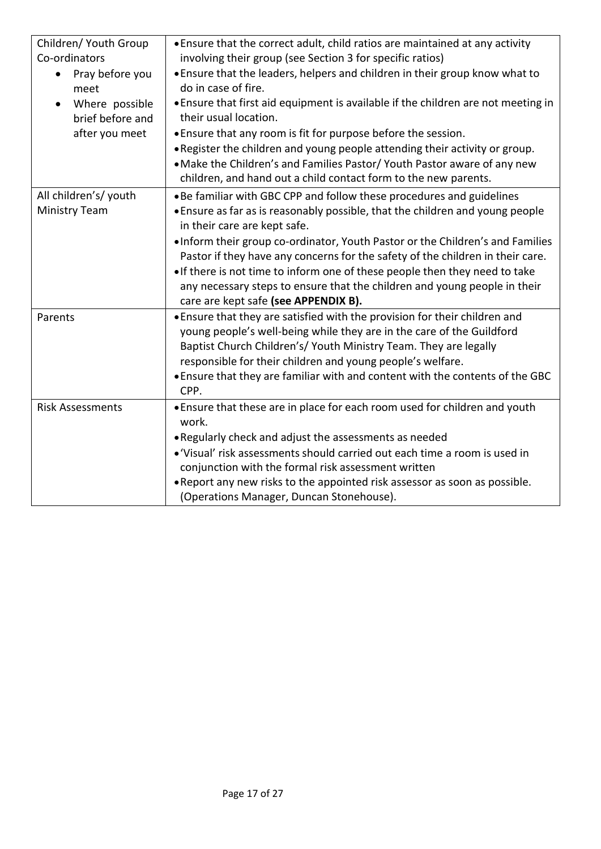| Children/ Youth Group<br>Co-ordinators<br>Pray before you<br>$\bullet$<br>meet<br>Where possible<br>$\bullet$<br>brief before and<br>after you meet | . Ensure that the correct adult, child ratios are maintained at any activity<br>involving their group (see Section 3 for specific ratios)<br>. Ensure that the leaders, helpers and children in their group know what to<br>do in case of fire.<br>• Ensure that first aid equipment is available if the children are not meeting in<br>their usual location.<br>• Ensure that any room is fit for purpose before the session.<br>. Register the children and young people attending their activity or group.<br>. Make the Children's and Families Pastor/ Youth Pastor aware of any new<br>children, and hand out a child contact form to the new parents. |
|-----------------------------------------------------------------------------------------------------------------------------------------------------|--------------------------------------------------------------------------------------------------------------------------------------------------------------------------------------------------------------------------------------------------------------------------------------------------------------------------------------------------------------------------------------------------------------------------------------------------------------------------------------------------------------------------------------------------------------------------------------------------------------------------------------------------------------|
| All children's/ youth<br><b>Ministry Team</b>                                                                                                       | . Be familiar with GBC CPP and follow these procedures and guidelines<br>• Ensure as far as is reasonably possible, that the children and young people<br>in their care are kept safe.<br>. Inform their group co-ordinator, Youth Pastor or the Children's and Families<br>Pastor if they have any concerns for the safety of the children in their care.<br>. If there is not time to inform one of these people then they need to take                                                                                                                                                                                                                    |
|                                                                                                                                                     | any necessary steps to ensure that the children and young people in their<br>care are kept safe (see APPENDIX B).                                                                                                                                                                                                                                                                                                                                                                                                                                                                                                                                            |
| Parents                                                                                                                                             | . Ensure that they are satisfied with the provision for their children and<br>young people's well-being while they are in the care of the Guildford<br>Baptist Church Children's/ Youth Ministry Team. They are legally<br>responsible for their children and young people's welfare.<br>. Ensure that they are familiar with and content with the contents of the GBC<br>CPP.                                                                                                                                                                                                                                                                               |
| <b>Risk Assessments</b>                                                                                                                             | • Ensure that these are in place for each room used for children and youth<br>work.<br>. Regularly check and adjust the assessments as needed<br>• 'Visual' risk assessments should carried out each time a room is used in<br>conjunction with the formal risk assessment written<br>. Report any new risks to the appointed risk assessor as soon as possible.<br>(Operations Manager, Duncan Stonehouse).                                                                                                                                                                                                                                                 |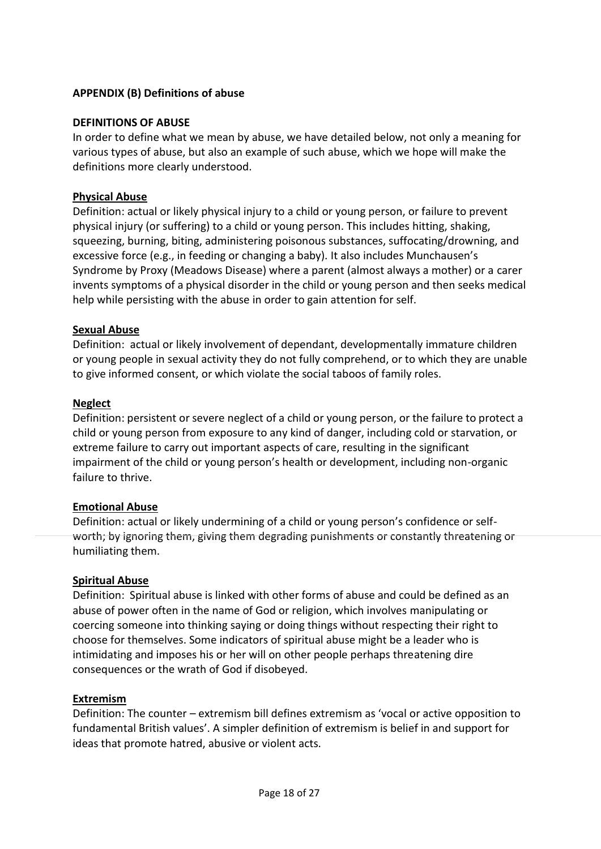# **APPENDIX (B) Definitions of abuse**

## **DEFINITIONS OF ABUSE**

In order to define what we mean by abuse, we have detailed below, not only a meaning for various types of abuse, but also an example of such abuse, which we hope will make the definitions more clearly understood.

## **Physical Abuse**

Definition: actual or likely physical injury to a child or young person, or failure to prevent physical injury (or suffering) to a child or young person. This includes hitting, shaking, squeezing, burning, biting, administering poisonous substances, suffocating/drowning, and excessive force (e.g., in feeding or changing a baby). It also includes Munchausen's Syndrome by Proxy (Meadows Disease) where a parent (almost always a mother) or a carer invents symptoms of a physical disorder in the child or young person and then seeks medical help while persisting with the abuse in order to gain attention for self.

## **Sexual Abuse**

Definition: actual or likely involvement of dependant, developmentally immature children or young people in sexual activity they do not fully comprehend, or to which they are unable to give informed consent, or which violate the social taboos of family roles.

## **Neglect**

Definition: persistent or severe neglect of a child or young person, or the failure to protect a child or young person from exposure to any kind of danger, including cold or starvation, or extreme failure to carry out important aspects of care, resulting in the significant impairment of the child or young person's health or development, including non-organic failure to thrive.

#### **Emotional Abuse**

Definition: actual or likely undermining of a child or young person's confidence or selfworth; by ignoring them, giving them degrading punishments or constantly threatening or humiliating them.

#### **Spiritual Abuse**

Definition: Spiritual abuse is linked with other forms of abuse and could be defined as an abuse of power often in the name of God or religion, which involves manipulating or coercing someone into thinking saying or doing things without respecting their right to choose for themselves. Some indicators of spiritual abuse might be a leader who is intimidating and imposes his or her will on other people perhaps threatening dire consequences or the wrath of God if disobeyed.

#### **Extremism**

Definition: The counter – extremism bill defines extremism as 'vocal or active opposition to fundamental British values'. A simpler definition of extremism is belief in and support for ideas that promote hatred, abusive or violent acts.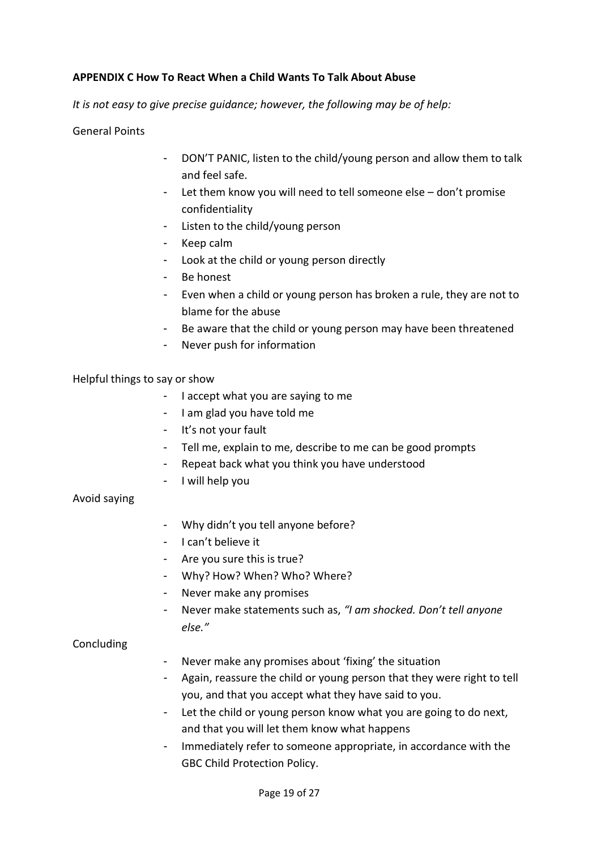## **APPENDIX C How To React When a Child Wants To Talk About Abuse**

*It is not easy to give precise guidance; however, the following may be of help:*

General Points

- DON'T PANIC, listen to the child/young person and allow them to talk and feel safe.
- Let them know you will need to tell someone else don't promise confidentiality
- Listen to the child/young person
- Keep calm
- Look at the child or young person directly
- Be honest
- Even when a child or young person has broken a rule, they are not to blame for the abuse
- Be aware that the child or young person may have been threatened
- Never push for information

## Helpful things to say or show

- I accept what you are saying to me
- I am glad you have told me
- It's not your fault
- Tell me, explain to me, describe to me can be good prompts
- Repeat back what you think you have understood
- I will help you

#### Avoid saying

- Why didn't you tell anyone before?
- I can't believe it
- Are you sure this is true?
- Why? How? When? Who? Where?
- Never make any promises
- Never make statements such as, *"I am shocked. Don't tell anyone else."*

### **Concluding**

- Never make any promises about 'fixing' the situation
- Again, reassure the child or young person that they were right to tell you, and that you accept what they have said to you.
- Let the child or young person know what you are going to do next, and that you will let them know what happens
- Immediately refer to someone appropriate, in accordance with the GBC Child Protection Policy.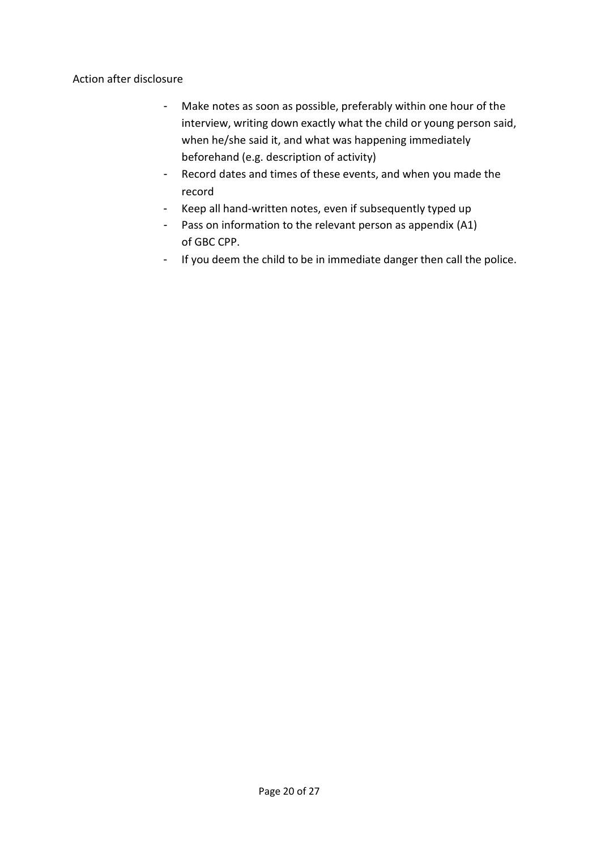Action after disclosure

- Make notes as soon as possible, preferably within one hour of the interview, writing down exactly what the child or young person said, when he/she said it, and what was happening immediately beforehand (e.g. description of activity)
- Record dates and times of these events, and when you made the record
- Keep all hand-written notes, even if subsequently typed up
- Pass on information to the relevant person as appendix (A1) of GBC CPP.
- If you deem the child to be in immediate danger then call the police.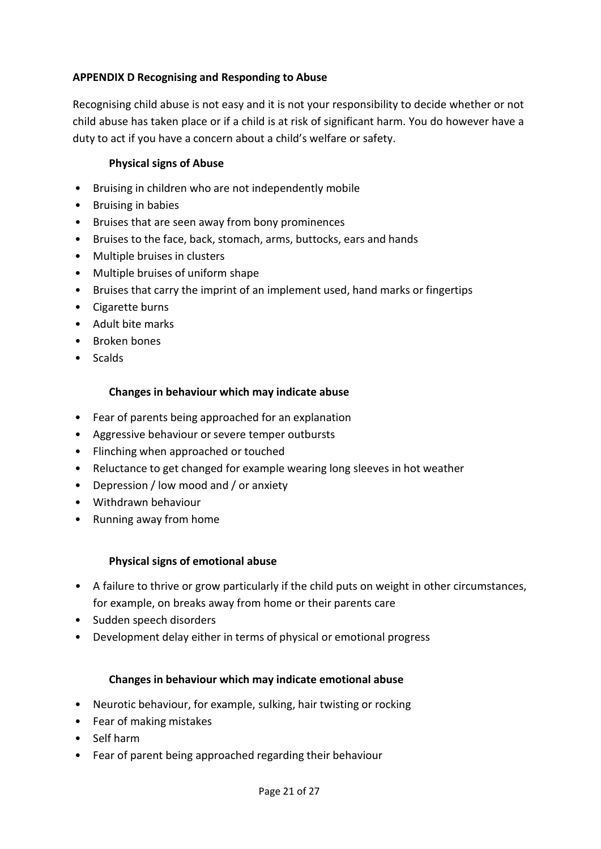# **APPENDIX D Recognising and Responding to Abuse**

Recognising child abuse is not easy and it is not your responsibility to decide whether or not child abuse has taken place or if a child is at risk of significant harm. You do however have a duty to act if you have a concern about a child's welfare or safety.

# **Physical signs of Abuse**

- Bruising in children who are not independently mobile
- Bruising in babies
- Bruises that are seen away from bony prominences
- Bruises to the face, back, stomach, arms, buttocks, ears and hands
- Multiple bruises in clusters
- Multiple bruises of uniform shape
- Bruises that carry the imprint of an implement used, hand marks or fingertips
- Cigarette burns
- Adult bite marks
- Broken bones
- Scalds

# **Changes in behaviour which may indicate abuse**

- Fear of parents being approached for an explanation
- Aggressive behaviour or severe temper outbursts
- Flinching when approached or touched
- Reluctance to get changed for example wearing long sleeves in hot weather
- Depression / low mood and / or anxiety
- Withdrawn behaviour
- Running away from home

# **Physical signs of emotional abuse**

- A failure to thrive or grow particularly if the child puts on weight in other circumstances, for example, on breaks away from home or their parents care
- Sudden speech disorders
- Development delay either in terms of physical or emotional progress

# **Changes in behaviour which may indicate emotional abuse**

- Neurotic behaviour, for example, sulking, hair twisting or rocking
- Fear of making mistakes
- Self harm
- Fear of parent being approached regarding their behaviour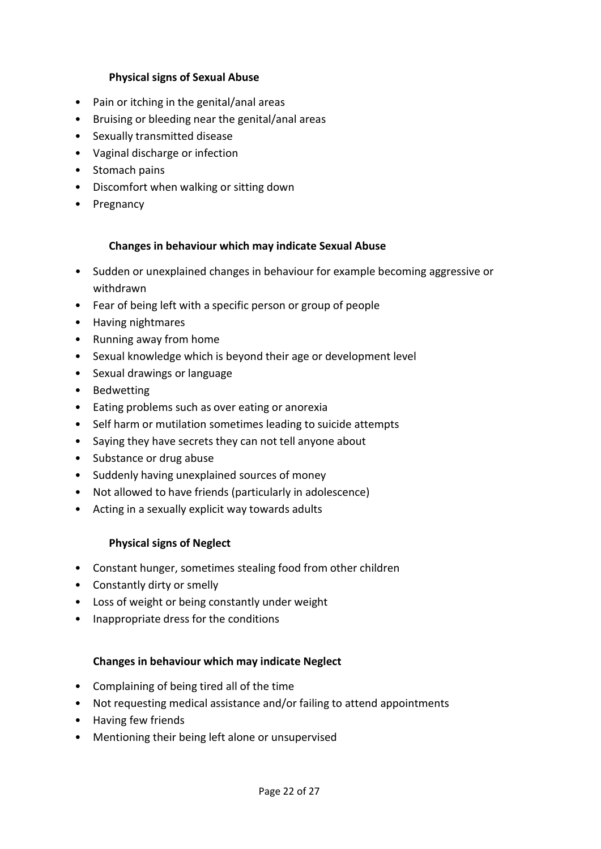## **Physical signs of Sexual Abuse**

- Pain or itching in the genital/anal areas
- Bruising or bleeding near the genital/anal areas
- Sexually transmitted disease
- Vaginal discharge or infection
- Stomach pains
- Discomfort when walking or sitting down
- Pregnancy

#### **Changes in behaviour which may indicate Sexual Abuse**

- Sudden or unexplained changes in behaviour for example becoming aggressive or withdrawn
- Fear of being left with a specific person or group of people
- Having nightmares
- Running away from home
- Sexual knowledge which is beyond their age or development level
- Sexual drawings or language
- Bedwetting
- Eating problems such as over eating or anorexia
- Self harm or mutilation sometimes leading to suicide attempts
- Saying they have secrets they can not tell anyone about
- Substance or drug abuse
- Suddenly having unexplained sources of money
- Not allowed to have friends (particularly in adolescence)
- Acting in a sexually explicit way towards adults

#### **Physical signs of Neglect**

- Constant hunger, sometimes stealing food from other children
- Constantly dirty or smelly
- Loss of weight or being constantly under weight
- Inappropriate dress for the conditions

#### **Changes in behaviour which may indicate Neglect**

- Complaining of being tired all of the time
- Not requesting medical assistance and/or failing to attend appointments
- Having few friends
- Mentioning their being left alone or unsupervised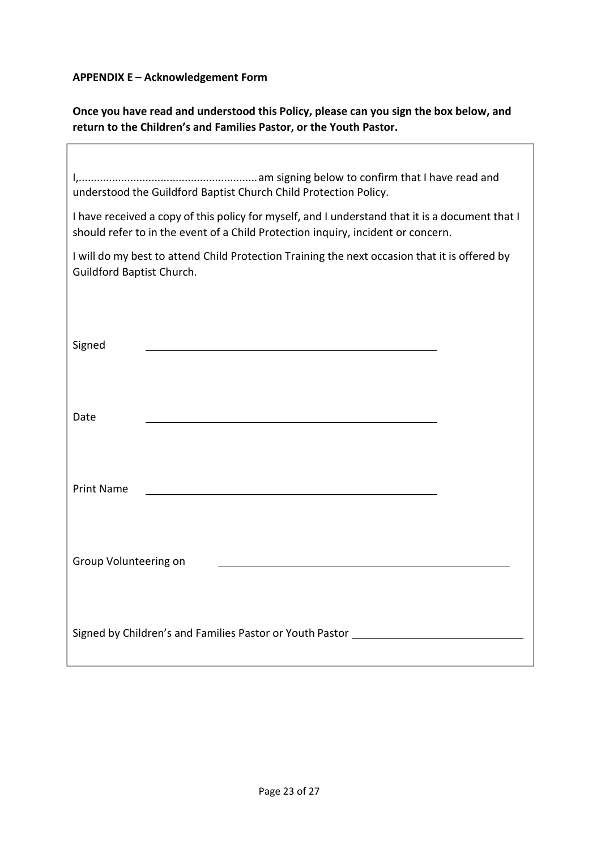**APPENDIX E – Acknowledgement Form**

r

**Once you have read and understood this Policy, please can you sign the box below, and return to the Children's and Families Pastor, or the Youth Pastor.**

| understood the Guildford Baptist Church Child Protection Policy.                                                                                                                    |  |  |
|-------------------------------------------------------------------------------------------------------------------------------------------------------------------------------------|--|--|
| I have received a copy of this policy for myself, and I understand that it is a document that I<br>should refer to in the event of a Child Protection inquiry, incident or concern. |  |  |
| I will do my best to attend Child Protection Training the next occasion that it is offered by<br>Guildford Baptist Church.                                                          |  |  |
|                                                                                                                                                                                     |  |  |
| Signed                                                                                                                                                                              |  |  |
|                                                                                                                                                                                     |  |  |
| Date                                                                                                                                                                                |  |  |
|                                                                                                                                                                                     |  |  |
| <b>Print Name</b>                                                                                                                                                                   |  |  |
|                                                                                                                                                                                     |  |  |
| Group Volunteering on                                                                                                                                                               |  |  |
|                                                                                                                                                                                     |  |  |
| Signed by Children's and Families Pastor or Youth Pastor _______                                                                                                                    |  |  |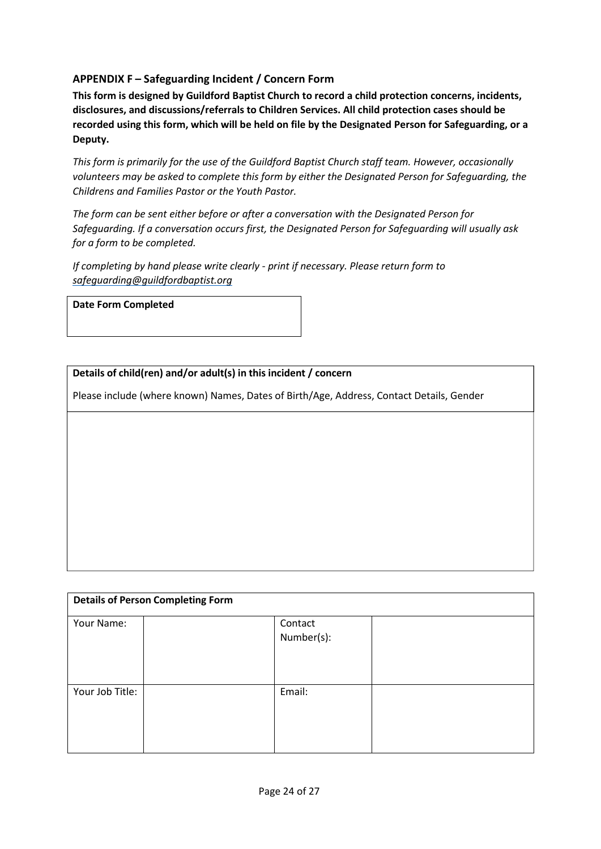# **APPENDIX F – Safeguarding Incident / Concern Form**

**This form is designed by Guildford Baptist Church to record a child protection concerns, incidents, disclosures, and discussions/referrals to Children Services. All child protection cases should be recorded using this form, which will be held on file by the Designated Person for Safeguarding, or a Deputy.**

*This form is primarily for the use of the Guildford Baptist Church staff team. However, occasionally volunteers may be asked to complete this form by either the Designated Person for Safeguarding, the Childrens and Families Pastor or the Youth Pastor.*

*The form can be sent either before or after a conversation with the Designated Person for Safeguarding. If a conversation occurs first, the Designated Person for Safeguarding will usually ask for a form to be completed.*

*If completing by hand please write clearly - print if necessary. Please return form to [safeguarding@guildfordbaptist.org](mailto:safeguarding@guildfordbaptist.org)*

#### **Date Form Completed**

**Details of child(ren) and/or adult(s) in this incident / concern**

Please include (where known) Names, Dates of Birth/Age, Address, Contact Details, Gender

| <b>Details of Person Completing Form</b> |  |                       |  |
|------------------------------------------|--|-----------------------|--|
| Your Name:                               |  | Contact<br>Number(s): |  |
| Your Job Title:                          |  | Email:                |  |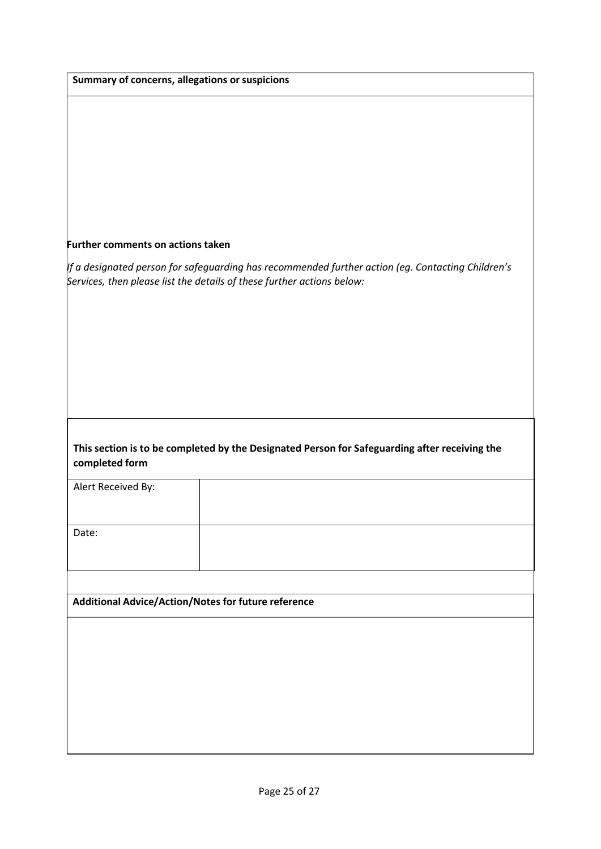|                                   | Summary of concerns, allegations or suspicions                                                                                                                              |
|-----------------------------------|-----------------------------------------------------------------------------------------------------------------------------------------------------------------------------|
|                                   |                                                                                                                                                                             |
|                                   |                                                                                                                                                                             |
|                                   |                                                                                                                                                                             |
| Further comments on actions taken |                                                                                                                                                                             |
|                                   | If a designated person for safeguarding has recommended further action (eg. Contacting Children's<br>Services, then please list the details of these further actions below: |
|                                   |                                                                                                                                                                             |
|                                   |                                                                                                                                                                             |
|                                   |                                                                                                                                                                             |
|                                   |                                                                                                                                                                             |
| completed form                    | This section is to be completed by the Designated Person for Safeguarding after receiving the                                                                               |
| Alert Received By:                |                                                                                                                                                                             |
| Date:                             |                                                                                                                                                                             |
|                                   |                                                                                                                                                                             |
|                                   |                                                                                                                                                                             |
|                                   | Additional Advice/Action/Notes for future reference                                                                                                                         |
|                                   |                                                                                                                                                                             |
|                                   |                                                                                                                                                                             |
|                                   |                                                                                                                                                                             |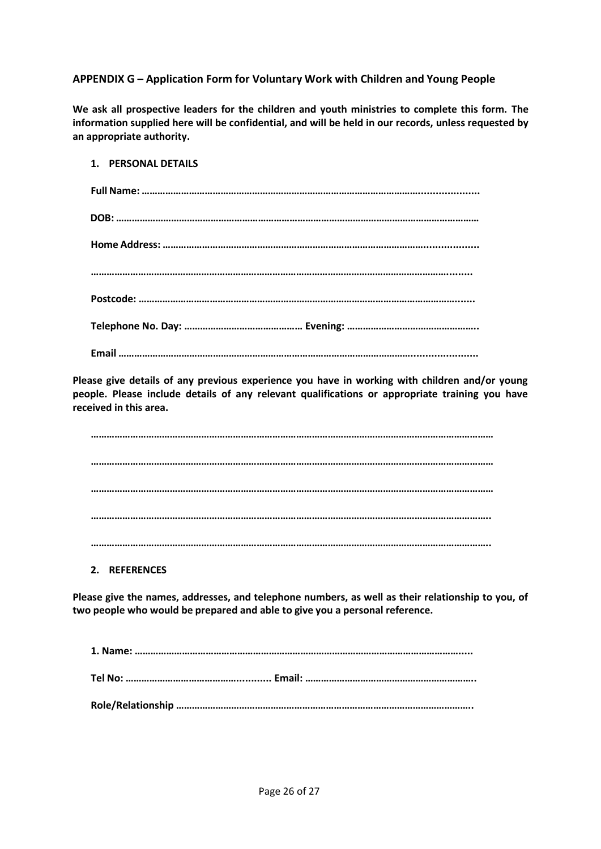### **APPENDIX G – Application Form for Voluntary Work with Children and Young People**

**We ask all prospective leaders for the children and youth ministries to complete this form. The information supplied here will be confidential, and will be held in our records, unless requested by an appropriate authority.**

| 1. PERSONAL DETAILS |
|---------------------|
|                     |
|                     |
|                     |
|                     |
|                     |
|                     |
|                     |

**Please give details of any previous experience you have in working with children and/or young people. Please include details of any relevant qualifications or appropriate training you have received in this area.**

**……………………………………………………………………………………………………………………………………… ……………………………………………………………………………………………………………………………………… ……………………………………………………………………………………………………………………………………… …………………………………………………………………………………………………………………………………….. ……………………………………………………………………………………………………………………………………..**

**2. REFERENCES**

**Please give the names, addresses, and telephone numbers, as well as their relationship to you, of two people who would be prepared and able to give you a personal reference.**